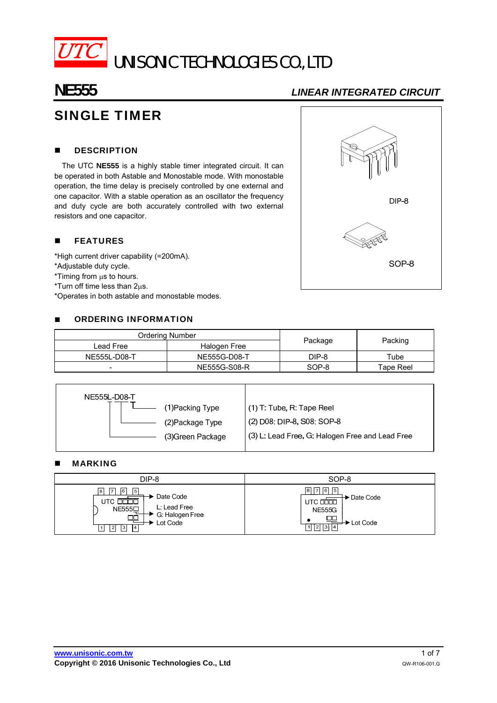

# UNISONIC TECHNOLOGIES CO., LTD

# **NE555** *LINEAR INTEGRATED CIRCUIT*

# SINGLE TIMER

#### **DESCRIPTION**

The UTC **NE555** is a highly stable timer integrated circuit. It can be operated in both Astable and Monostable mode. With monostable operation, the time delay is precisely controlled by one external and one capacitor. With a stable operation as an oscillator the frequency and duty cycle are both accurately controlled with two external resistors and one capacitor.

#### **FEATURES**

\*High current driver capability (=200mA).

\*Adjustable duty cycle.

 $*$ Timing from  $\mu$ s to hours.

 $*T$ urn off time less than  $2\mu s$ .

\*Operates in both astable and monostable modes.

#### ■ ORDERING INFORMATION

| Ordering Number          |              |         |           |  |
|--------------------------|--------------|---------|-----------|--|
| Lead Free                | Halogen Free | Package | Packing   |  |
| NE555L-D08-T             | NE555G-D08-T | DIP-8   | Tube      |  |
| $\overline{\phantom{0}}$ | NE555G-S08-R | SOP-8   | Tape Reel |  |

| NE555L-D08-T     |                                                                      |  |
|------------------|----------------------------------------------------------------------|--|
| (1) Packing Type | (1) T: Tube, R: Tape Reel                                            |  |
|                  | (2) D08: DIP-8, S08: SOP-8<br>(2) Package Type                       |  |
|                  | (3) L: Lead Free, G: Halogen Free and Lead Free<br>(3) Green Package |  |
|                  |                                                                      |  |

#### **MARKING**

| DIP-8                                                                                                                                     | SOP-8                                                                                              |
|-------------------------------------------------------------------------------------------------------------------------------------------|----------------------------------------------------------------------------------------------------|
| $\sqrt{6}$<br>8 I<br>17<br>$\sqrt{5}$<br>► Date Code<br>UTC.<br>L: Lead Free<br>NE555D<br>G. Halogen Free<br>Lot Code<br> 4 <br> 3 <br> 2 | 6 <br>5<br>→ Date Code<br>UTC <b>DOOD</b><br><b>NE555G</b><br>$\rightarrow$ Lot Code<br>121 13 1 1 |

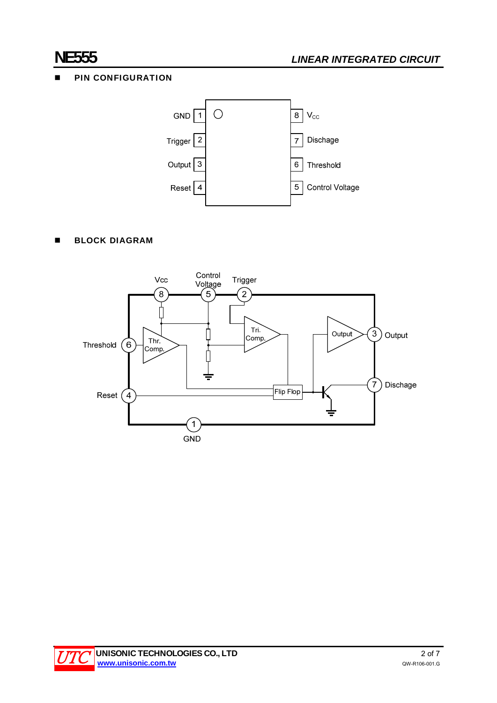### **PIN CONFIGURATION**



### **BLOCK DIAGRAM**



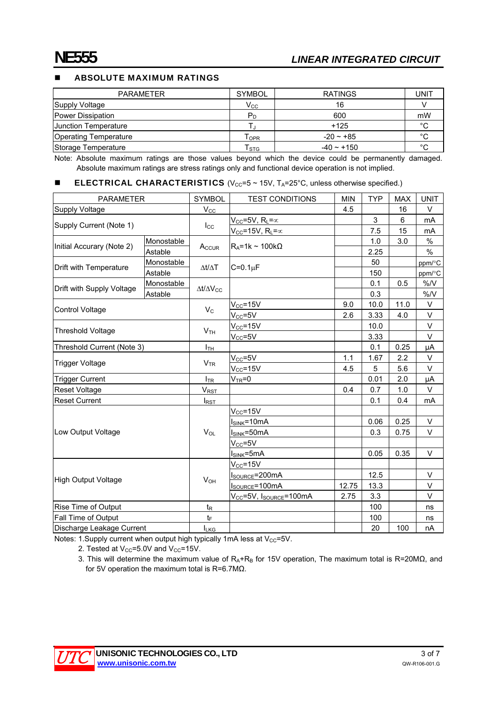#### ABSOLUTE MAXIMUM RATINGS

| <b>PARAMETER</b>      | <b>SYMBOL</b>             | <b>RATINGS</b>  | UNIT    |
|-----------------------|---------------------------|-----------------|---------|
| Supply Voltage        | Vcc                       | 16              |         |
| Power Dissipation     | $P_D$                     | 600             | mW      |
| Junction Temperature  |                           | $+125$          | $\circ$ |
| Operating Temperature | Topr                      | $-20 - 185$     | °C      |
| Storage Temperature   | $\mathsf{r}_{\text{STG}}$ | $-40 \sim +150$ | $\circ$ |

Note: Absolute maximum ratings are those values beyond which the device could be permanently damaged. Absolute maximum ratings are stress ratings only and functional device operation is not implied.

#### **ELECTRICAL CHARACTERISTICS** ( $V_{CC}$ =5 ~ 15V,  $T_A$ =25°C, unless otherwise specified.)

| <b>PARAMETER</b>           |            | <b>SYMBOL</b>            | <b>TEST CONDITIONS</b>                          | <b>MIN</b> | <b>TYP</b> | <b>MAX</b> | <b>UNIT</b> |
|----------------------------|------------|--------------------------|-------------------------------------------------|------------|------------|------------|-------------|
| Supply Voltage             |            | $V_{\rm CC}$             |                                                 | 4.5        |            | 16         | V           |
| Supply Current (Note 1)    |            | $I_{\rm CC}$             | $V_{CC}$ =5V, R <sub>L</sub> = $\infty$         |            | 3          | 6          | mA          |
|                            |            |                          | $V_{CC}$ =15V, R <sub>L</sub> = $\propto$       |            | 7.5        | 15         | mA          |
| Initial Accurary (Note 2)  | Monostable |                          | $R_A = 1k \sim 100k\Omega$                      |            | 1.0        | 3.0        | %           |
|                            | Astable    | Accur                    |                                                 |            | 2.25       |            | $\%$        |
| Drift with Temperature     | Monostable | $\Delta t/\Delta T$      | $C=0.1\mu F$                                    |            | 50         |            | ppm/°C      |
|                            | Astable    |                          |                                                 |            | 150        |            | ppm/°C      |
|                            | Monostable | $\Delta t/\Delta V_{CC}$ |                                                 |            | 0.1        | 0.5        | %N          |
| Drift with Supply Voltage  | Astable    |                          |                                                 |            | 0.3        |            | %N          |
|                            |            |                          | $V_{CC} = 15V$                                  | 9.0        | 10.0       | 11.0       | V           |
| Control Voltage            |            | $V_C$                    | $\rm V_{CC}$ =5V                                | 2.6        | 3.33       | 4.0        | V           |
| <b>Threshold Voltage</b>   |            |                          | $V_{CC} = 15V$                                  |            | 10.0       |            | V           |
|                            |            | V <sub>TH</sub>          | $V_{CC} = 5V$                                   |            | 3.33       |            | V           |
| Threshold Current (Note 3) |            | $I_{TH}$                 |                                                 |            | 0.1        | 0.25       | μA          |
|                            |            |                          | $V_{CC} = 5V$                                   | 1.1        | 1.67       | 2.2        | V           |
| Trigger Voltage            |            | V <sub>TR</sub>          | $V_{CC} = 15V$                                  | 4.5        | 5          | 5.6        | V           |
| <b>Trigger Current</b>     |            | $I_{TR}$                 | $VTR=0$                                         |            | 0.01       | 2.0        | μA          |
| Reset Voltage              |            | $V_{RST}$                |                                                 | 0.4        | 0.7        | 1.0        | V           |
| <b>Reset Current</b>       |            | $I_{RST}$                |                                                 |            | 0.1        | 0.4        | mA          |
|                            |            |                          | $V_{CC} = 15V$                                  |            |            |            |             |
| Low Output Voltage         |            | $V_{OL}$                 | $I_{SINK} = 10mA$                               |            | 0.06       | 0.25       | V           |
|                            |            |                          | $ISINK=50mA$                                    |            | 0.3        | 0.75       | V           |
|                            |            |                          | $V_{CC} = 5V$                                   |            |            |            |             |
|                            |            |                          | I <sub>SINK</sub> =5mA                          |            | 0.05       | 0.35       | V           |
|                            |            |                          | $V_{CC} = 15V$                                  |            |            |            |             |
| <b>High Output Voltage</b> |            | $V_{OH}$                 | I <sub>SOURCE</sub> =200mA                      |            | 12.5       |            | V           |
|                            |            |                          | I <sub>SOURCE</sub> =100mA                      | 12.75      | 13.3       |            | V           |
|                            |            |                          | V <sub>CC</sub> =5V, I <sub>SOURCE</sub> =100mA | 2.75       | 3.3        |            | V           |
| Rise Time of Output        |            | $t_{\mathsf{R}}$         |                                                 |            | 100        |            | ns          |
| Fall Time of Output        |            | $t_{\text{F}}$           |                                                 |            | 100        |            | ns          |
| Discharge Leakage Current  |            | <b>ILKG</b>              |                                                 |            | 20         | 100        | nA          |

Notes: 1.Supply current when output high typically 1mA less at  $V_{CC}$ =5V.

2. Tested at  $V_{CC} = 5.0V$  and  $V_{CC} = 15V$ .

3. This will determine the maximum value of R<sub>A</sub>+R<sub>B</sub> for 15V operation, The maximum total is R=20MΩ, and for 5V operation the maximum total is R=6.7MΩ.

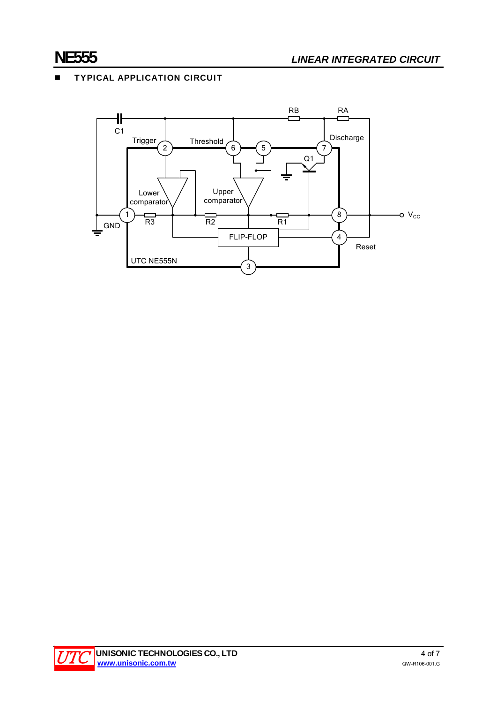### **TYPICAL APPLICATION CIRCUIT**



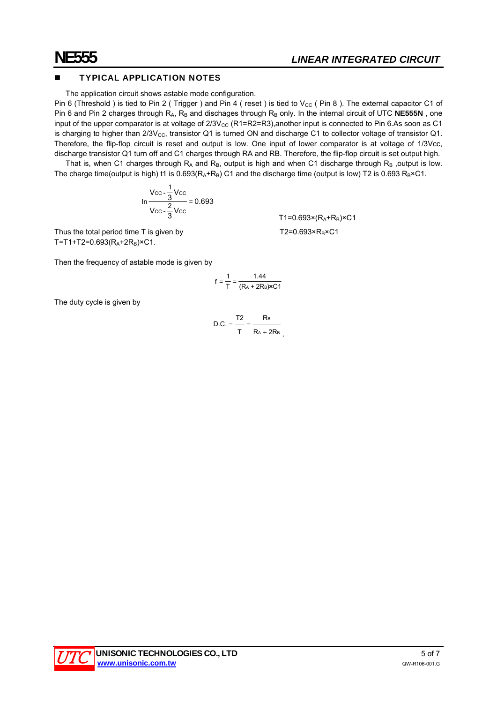#### TYPICAL APPLICATION NOTES

The application circuit shows astable mode configuration.

Pin 6 (Threshold) is tied to Pin 2 ( Trigger ) and Pin 4 ( reset ) is tied to  $V_{CC}$  ( Pin 8 ). The external capacitor C1 of Pin 6 and Pin 2 charges through R<sub>A</sub>, R<sub>B</sub> and dischages through R<sub>B</sub> only. In the internal circuit of UTC NE555N, one input of the upper comparator is at voltage of  $2/3V_{\text{CC}}$  (R1=R2=R3),another input is connected to Pin 6.As soon as C1 is charging to higher than  $2/3V_{CC}$ , transistor Q1 is turned ON and discharge C1 to collector voltage of transistor Q1. Therefore, the flip-flop circuit is reset and output is low. One input of lower comparator is at voltage of 1/3Vcc, discharge transistor Q1 turn off and C1 charges through RA and RB. Therefore, the flip-flop circuit is set output high.

That is, when C1 charges through  $R_A$  and  $R_B$ , output is high and when C1 discharge through  $R_B$ , output is low. The charge time(output is high) t1 is  $0.693(R_A+R_B)$  C1 and the discharge time (output is low) T2 is  $0.693 R_B \times C1$ .

 $T1 = 0.693 \times (Ra + R_B) \times C1$ 

$$
\ln \frac{\text{Vcc} - \frac{1}{3}\text{Vcc}}{\text{Vcc} - \frac{2}{3}\text{Vcc}} = 0.693
$$

Thus the total period time T is given by  $T2=0.693 \times R_B \times C1$ T=T1+T2=0.693( $R_A$ +2 $R_B$ )×C1.

Then the frequency of astable mode is given by

$$
f = \frac{1}{T} = \frac{1.44}{(R_A + 2R_B)xC1}
$$

The duty cycle is given by

$$
D.C. = \frac{T2}{T} = \frac{R_B}{R_A + 2R_B}
$$

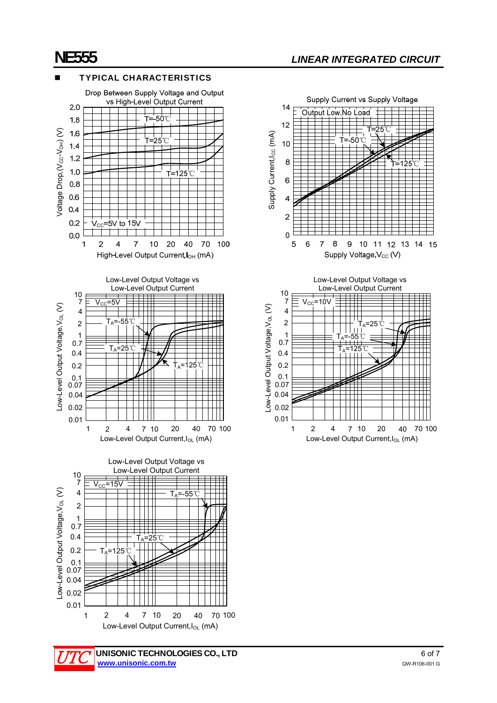### TYPICAL CHARACTERISTICS





Low-Level Output Current, I<sub>OL</sub> (mA)

UNISONIC TECHNOLOGIES CO., LTD 6 of 7 **www.unisonic.com.tw** QW-R106-001.G